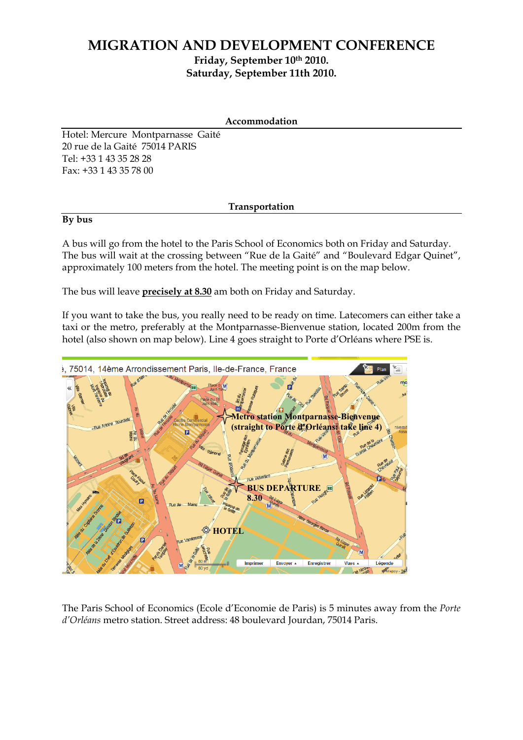## **MIGRATION AND DEVELOPMENT CONFERENCE Friday, September 10th 2010. Saturday, September 11th 2010.**

| Accommodation |
|---------------|
|---------------|

Hotel: Mercure Montparnasse Gaité 20 rue de la Gaité 75014 PARIS Tel: +33 1 43 35 28 28 Fax: +33 1 43 35 78 00

## **Transportation**

## **By bus**

A bus will go from the hotel to the Paris School of Economics both on Friday and Saturday. The bus will wait at the crossing between "Rue de la Gaité" and "Boulevard Edgar Quinet", approximately 100 meters from the hotel. The meeting point is on the map below.

The bus will leave **precisely at 8.30** am both on Friday and Saturday.

If you want to take the bus, you really need to be ready on time. Latecomers can either take a taxi or the metro, preferably at the Montparnasse-Bienvenue station, located 200m from the hotel (also shown on map below). Line 4 goes straight to Porte d'Orléans where PSE is.



The Paris School of Economics (Ecole d'Economie de Paris) is 5 minutes away from the *Porte d'Orléans* metro station. Street address: 48 boulevard Jourdan, 75014 Paris.